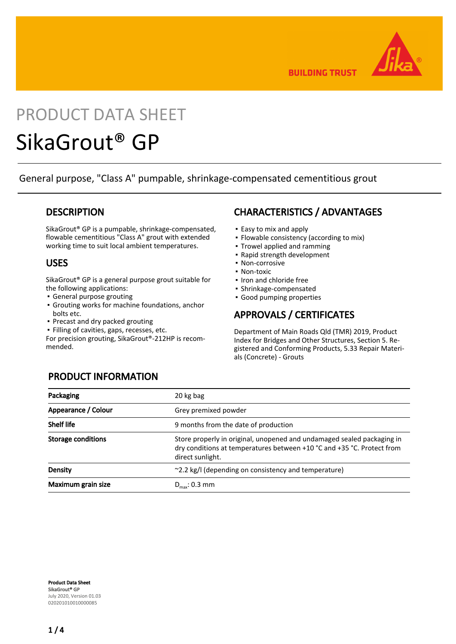

**BUILDING TRUST** 

# PRODUCT DATA SHEET

## SikaGrout® GP

General purpose, "Class A" pumpable, shrinkage-compensated cementitious grout

## **DESCRIPTION**

SikaGrout® GP is a pumpable, shrinkage-compensated, flowable cementitious "Class A" grout with extended working time to suit local ambient temperatures.

## USES

SikaGrout® GP is a general purpose grout suitable for the following applications:

- General purpose grouting
- Grouting works for machine foundations, anchor bolts etc.
- Precast and dry packed grouting
- Filling of cavities, gaps, recesses, etc.

For precision grouting, SikaGrout®-212HP is recommended.

## CHARACTERISTICS / ADVANTAGES

- Easy to mix and apply
- Flowable consistency (according to mix)
- Trowel applied and ramming
- Rapid strength development
- Non-corrosive
- Non-toxic
- Iron and chloride free
- Shrinkage-compensated
- Good pumping properties

## APPROVALS / CERTIFICATES

Department of Main Roads Qld (TMR) 2019, Product Index for Bridges and Other Structures, Section 5. Registered and Conforming Products, 5.33 Repair Materials (Concrete) - Grouts

## PRODUCT INFORMATION

| Packaging                 | 20 kg bag                                                                                                                                                            |
|---------------------------|----------------------------------------------------------------------------------------------------------------------------------------------------------------------|
| Appearance / Colour       | Grey premixed powder                                                                                                                                                 |
| <b>Shelf life</b>         | 9 months from the date of production                                                                                                                                 |
| <b>Storage conditions</b> | Store properly in original, unopened and undamaged sealed packaging in<br>dry conditions at temperatures between +10 °C and +35 °C. Protect from<br>direct sunlight. |
| Density                   | ~2.2 kg/l (depending on consistency and temperature)                                                                                                                 |
| Maximum grain size        | $D_{\text{max}}$ : 0.3 mm                                                                                                                                            |

Product Data Sheet SikaGrout® GP July 2020, Version 01.03 020201010010000085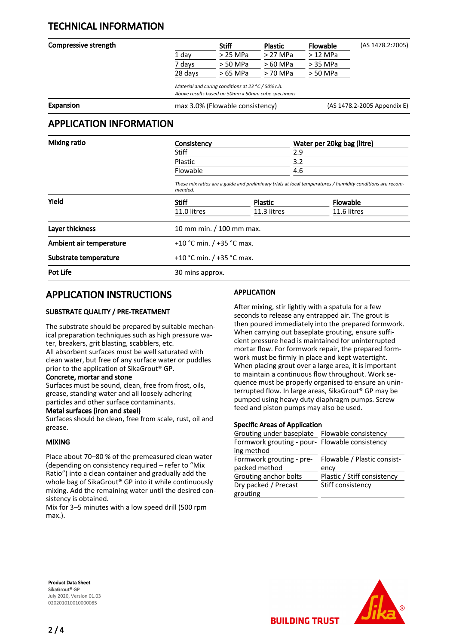## TECHNICAL INFORMATION

| Compressive strength |         | <b>Stiff</b>                                                | <b>Plastic</b> | <b>Flowable</b> | (AS 1478.2:2005) |
|----------------------|---------|-------------------------------------------------------------|----------------|-----------------|------------------|
|                      | 1 day   | $>$ 25 MPa                                                  | $>27$ MPa      | $>12$ MPa       |                  |
|                      | 7 days  | > 50 MPa                                                    | > 60 MPa       | > 35 MPa        |                  |
|                      | 28 days | > 65 MPa                                                    | > 70 MPa       | > 50 MPa        |                  |
|                      |         | Material and curing conditions at $23^{\circ}$ C / 50% r.h. |                |                 |                  |
|                      |         | Above results based on 50mm x 50mm cube specimens           |                |                 |                  |

Expansion expansion max 3.0% (Flowable consistency) and (AS 1478.2-2005 Appendix E)

## APPLICATION INFORMATION

| <b>Mixing ratio</b>     | Consistency                                                                                                           |                | Water per 20kg bag (litre) |  |
|-------------------------|-----------------------------------------------------------------------------------------------------------------------|----------------|----------------------------|--|
|                         | Stiff                                                                                                                 |                | 2.9                        |  |
|                         | Plastic                                                                                                               |                | 3.2                        |  |
|                         | Flowable                                                                                                              |                | 4.6                        |  |
|                         | These mix ratios are a guide and preliminary trials at local temperatures / humidity conditions are recom-<br>mended. |                |                            |  |
| Yield                   | <b>Stiff</b>                                                                                                          | <b>Plastic</b> | <b>Flowable</b>            |  |
|                         | 11.0 litres                                                                                                           | 11.3 litres    | 11.6 litres                |  |
| Layer thickness         | 10 mm min. / 100 mm max.                                                                                              |                |                            |  |
| Ambient air temperature | +10 °C min. $/$ +35 °C max.                                                                                           |                |                            |  |
| Substrate temperature   | +10 °C min. $/$ +35 °C max.                                                                                           |                |                            |  |
| Pot Life                | 30 mins approx.                                                                                                       |                |                            |  |

## APPLICATION INSTRUCTIONS

#### SUBSTRATE QUALITY / PRE-TREATMENT

The substrate should be prepared by suitable mechanical preparation techniques such as high pressure water, breakers, grit blasting, scabblers, etc. All absorbent surfaces must be well saturated with clean water, but free of any surface water or puddles prior to the application of SikaGrout® GP.

#### Concrete, mortar and stone

Surfaces must be sound, clean, free from frost, oils, grease, standing water and all loosely adhering particles and other surface contaminants.

#### Metal surfaces (iron and steel)

Surfaces should be clean, free from scale, rust, oil and grease.

#### MIXING

Place about 70–80 % of the premeasured clean water (depending on consistency required – refer to "Mix Ratio") into a clean container and gradually add the whole bag of SikaGrout® GP into it while continuously mixing. Add the remaining water until the desired consistency is obtained.

Mix for 3–5 minutes with a low speed drill (500 rpm max.).

#### APPLICATION

After mixing, stir lightly with a spatula for a few seconds to release any entrapped air. The grout is then poured immediately into the prepared formwork. When carrying out baseplate grouting, ensure sufficient pressure head is maintained for uninterrupted mortar flow. For formwork repair, the prepared formwork must be firmly in place and kept watertight. When placing grout over a large area, it is important to maintain a continuous flow throughout. Work sequence must be properly organised to ensure an uninterrupted flow. In large areas, SikaGrout® GP may be pumped using heavy duty diaphragm pumps. Screw feed and piston pumps may also be used.

#### Specific Areas of Application

| Grouting under baseplate Flowable consistency  |                             |  |  |  |
|------------------------------------------------|-----------------------------|--|--|--|
| Formwork grouting - pour- Flowable consistency |                             |  |  |  |
| ing method                                     |                             |  |  |  |
| Formwork grouting - pre-                       | Flowable / Plastic consist- |  |  |  |
|                                                |                             |  |  |  |
| packed method                                  | ency                        |  |  |  |
| Grouting anchor bolts                          | Plastic / Stiff consistency |  |  |  |
| Dry packed / Precast                           | Stiff consistency           |  |  |  |
| grouting                                       |                             |  |  |  |

**BUILDING TRUST** 

Product Data Sheet SikaGrout® GP July 2020, Version 01.03 020201010010000085

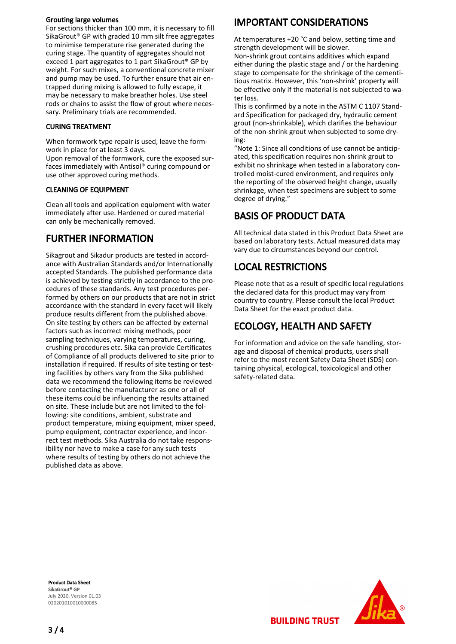#### Grouting large volumes

For sections thicker than 100 mm, it is necessary to fill SikaGrout® GP with graded 10 mm silt free aggregates to minimise temperature rise generated during the curing stage. The quantity of aggregates should not exceed 1 part aggregates to 1 part SikaGrout® GP by weight. For such mixes, a conventional concrete mixer and pump may be used. To further ensure that air entrapped during mixing is allowed to fully escape, it may be necessary to make breather holes. Use steel rods or chains to assist the flow of grout where necessary. Preliminary trials are recommended.

#### CURING TREATMENT

When formwork type repair is used, leave the formwork in place for at least 3 days.

Upon removal of the formwork, cure the exposed surfaces immediately with Antisol® curing compound or use other approved curing methods.

#### CLEANING OF EQUIPMENT

Clean all tools and application equipment with water immediately after use. Hardened or cured material can only be mechanically removed.

## FURTHER INFORMATION

Sikagrout and Sikadur products are tested in accordance with Australian Standards and/or Internationally accepted Standards. The published performance data is achieved by testing strictly in accordance to the procedures of these standards. Any test procedures performed by others on our products that are not in strict accordance with the standard in every facet will likely produce results different from the published above. On site testing by others can be affected by external factors such as incorrect mixing methods, poor sampling techniques, varying temperatures, curing, crushing procedures etc. Sika can provide Certificates of Compliance of all products delivered to site prior to installation if required. If results of site testing or testing facilities by others vary from the Sika published data we recommend the following items be reviewed before contacting the manufacturer as one or all of these items could be influencing the results attained on site. These include but are not limited to the following: site conditions, ambient, substrate and product temperature, mixing equipment, mixer speed, pump equipment, contractor experience, and incorrect test methods. Sika Australia do not take responsibility nor have to make a case for any such tests where results of testing by others do not achieve the published data as above.

## IMPORTANT CONSIDERATIONS

At temperatures +20 °C and below, setting time and strength development will be slower.

Non-shrink grout contains additives which expand either during the plastic stage and / or the hardening stage to compensate for the shrinkage of the cementitious matrix. However, this 'non-shrink' property will be effective only if the material is not subjected to water loss.

This is confirmed by a note in the ASTM C 1107 Standard Specification for packaged dry, hydraulic cement grout (non-shrinkable), which clarifies the behaviour of the non-shrink grout when subjected to some drying:

"Note 1: Since all conditions of use cannot be anticipated, this specification requires non-shrink grout to exhibit no shrinkage when tested in a laboratory controlled moist-cured environment, and requires only the reporting of the observed height change, usually shrinkage, when test specimens are subject to some degree of drying."

## BASIS OF PRODUCT DATA

All technical data stated in this Product Data Sheet are based on laboratory tests. Actual measured data may vary due to circumstances beyond our control.

## LOCAL RESTRICTIONS

Please note that as a result of specific local regulations the declared data for this product may vary from country to country. Please consult the local Product Data Sheet for the exact product data.

## ECOLOGY, HEALTH AND SAFETY

**BUILDING TRUST** 

For information and advice on the safe handling, storage and disposal of chemical products, users shall refer to the most recent Safety Data Sheet (SDS) containing physical, ecological, toxicological and other safety-related data.

Product Data Sheet SikaGrout® GP July 2020, Version 01.03 020201010010000085